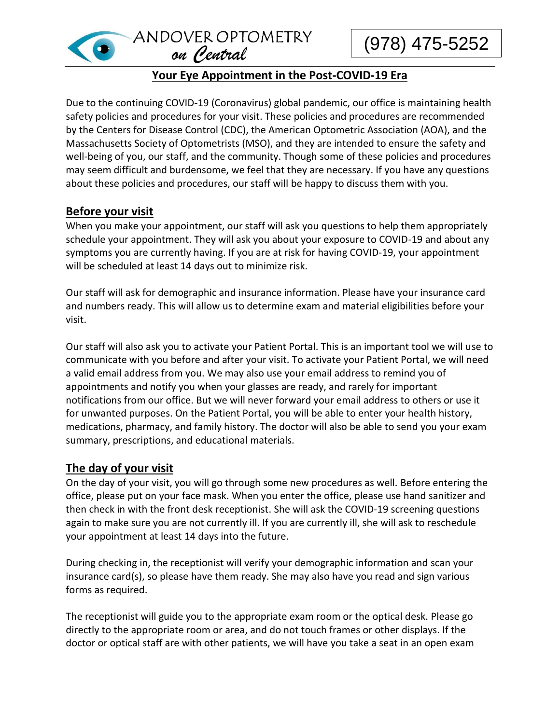

## **Your Eye Appointment in the Post-COVID-19 Era**

Due to the continuing COVID-19 (Coronavirus) global pandemic, our office is maintaining health safety policies and procedures for your visit. These policies and procedures are recommended by the Centers for Disease Control (CDC), the American Optometric Association (AOA), and the Massachusetts Society of Optometrists (MSO), and they are intended to ensure the safety and well-being of you, our staff, and the community. Though some of these policies and procedures may seem difficult and burdensome, we feel that they are necessary. If you have any questions about these policies and procedures, our staff will be happy to discuss them with you.

# **Before your visit**

When you make your appointment, our staff will ask you questions to help them appropriately schedule your appointment. They will ask you about your exposure to COVID-19 and about any symptoms you are currently having. If you are at risk for having COVID-19, your appointment will be scheduled at least 14 days out to minimize risk.

Our staff will ask for demographic and insurance information. Please have your insurance card and numbers ready. This will allow us to determine exam and material eligibilities before your visit.

Our staff will also ask you to activate your Patient Portal. This is an important tool we will use to communicate with you before and after your visit. To activate your Patient Portal, we will need a valid email address from you. We may also use your email address to remind you of appointments and notify you when your glasses are ready, and rarely for important notifications from our office. But we will never forward your email address to others or use it for unwanted purposes. On the Patient Portal, you will be able to enter your health history, medications, pharmacy, and family history. The doctor will also be able to send you your exam summary, prescriptions, and educational materials.

## **The day of your visit**

On the day of your visit, you will go through some new procedures as well. Before entering the office, please put on your face mask. When you enter the office, please use hand sanitizer and then check in with the front desk receptionist. She will ask the COVID-19 screening questions again to make sure you are not currently ill. If you are currently ill, she will ask to reschedule your appointment at least 14 days into the future.

During checking in, the receptionist will verify your demographic information and scan your insurance card(s), so please have them ready. She may also have you read and sign various forms as required.

The receptionist will guide you to the appropriate exam room or the optical desk. Please go directly to the appropriate room or area, and do not touch frames or other displays. If the doctor or optical staff are with other patients, we will have you take a seat in an open exam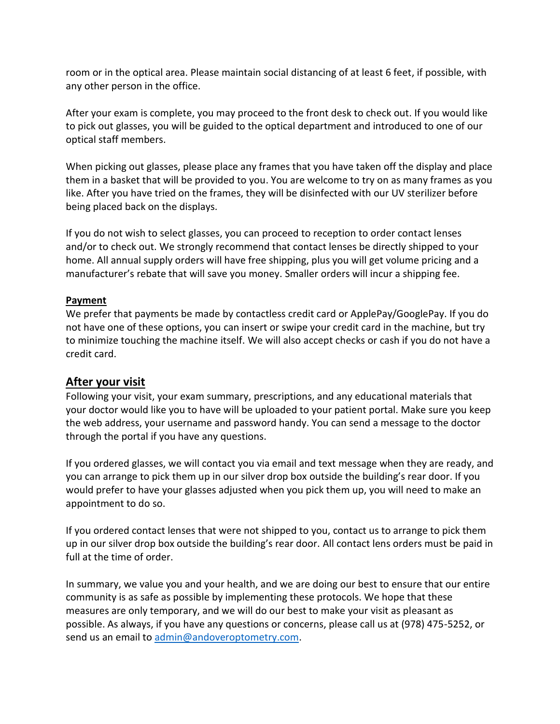room or in the optical area. Please maintain social distancing of at least 6 feet, if possible, with any other person in the office.

After your exam is complete, you may proceed to the front desk to check out. If you would like to pick out glasses, you will be guided to the optical department and introduced to one of our optical staff members.

When picking out glasses, please place any frames that you have taken off the display and place them in a basket that will be provided to you. You are welcome to try on as many frames as you like. After you have tried on the frames, they will be disinfected with our UV sterilizer before being placed back on the displays.

If you do not wish to select glasses, you can proceed to reception to order contact lenses and/or to check out. We strongly recommend that contact lenses be directly shipped to your home. All annual supply orders will have free shipping, plus you will get volume pricing and a manufacturer's rebate that will save you money. Smaller orders will incur a shipping fee.

### **Payment**

We prefer that payments be made by contactless credit card or ApplePay/GooglePay. If you do not have one of these options, you can insert or swipe your credit card in the machine, but try to minimize touching the machine itself. We will also accept checks or cash if you do not have a credit card.

### **After your visit**

Following your visit, your exam summary, prescriptions, and any educational materials that your doctor would like you to have will be uploaded to your patient portal. Make sure you keep the web address, your username and password handy. You can send a message to the doctor through the portal if you have any questions.

If you ordered glasses, we will contact you via email and text message when they are ready, and you can arrange to pick them up in our silver drop box outside the building's rear door. If you would prefer to have your glasses adjusted when you pick them up, you will need to make an appointment to do so.

If you ordered contact lenses that were not shipped to you, contact us to arrange to pick them up in our silver drop box outside the building's rear door. All contact lens orders must be paid in full at the time of order.

In summary, we value you and your health, and we are doing our best to ensure that our entire community is as safe as possible by implementing these protocols. We hope that these measures are only temporary, and we will do our best to make your visit as pleasant as possible. As always, if you have any questions or concerns, please call us at (978) 475-5252, or send us an email to [admin@andoveroptometry.com.](mailto:admin@andoveroptometry.com)